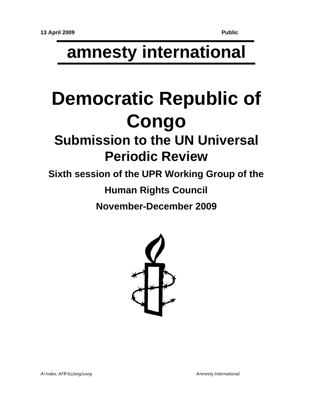# **amnesty international**

# **Democratic Republic of Congo**

## **Submission to the UN Universal Periodic Review**

**Sixth session of the UPR Working Group of the** 

**Human Rights Council**

**November-December 2009**

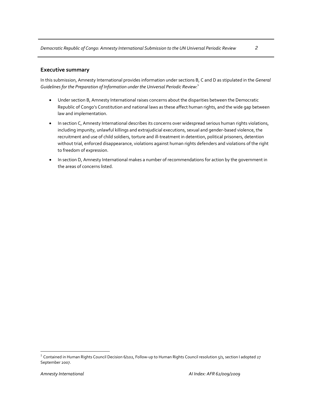#### **Executive summary**

In this submission, Amnesty International provides information under sections B, C and D as stipulated in the *General Guidelines for the Preparation of Information under the Universal Periodic Review*: 1

- Under section B, Amnesty International raises concerns about the disparities between the Democratic Republic of Congo's Constitution and national laws as these affect human rights, and the wide gap between law and implementation.
- In section C, Amnesty International describes its concerns over widespread serious human rights violations, including impunity, unlawful killings and extrajudicial executions, sexual and gender‐based violence, the recruitment and use of child soldiers, torture and ill‐treatment in detention, political prisoners, detention without trial, enforced disappearance, violations against human rights defenders and violations of the right to freedom of expression.
- In section D, Amnesty International makes a number of recommendations for action by the government in the areas of concerns listed.

 $\overline{a}$ 

<sup>&</sup>lt;sup>1</sup> Contained in Human Rights Council Decision 6/102, Follow-up to Human Rights Council resolution 5/1, section I adopted 27 September 2007.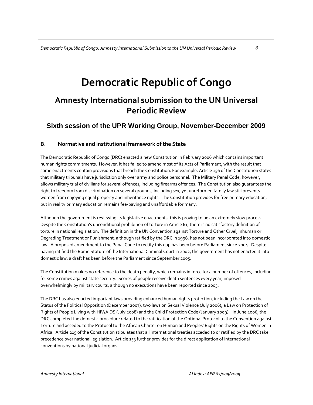### **Democratic Republic of Congo**

### **Amnesty International submission to the UN Universal Periodic Review**

### **Sixth session of the UPR Working Group, November-December 2009**

#### **B. Normative and institutional framework of the State**

The Democratic Republic of Congo (DRC) enacted a new Constitution in February 2006 which contains important human rights commitments. However, it has failed to amend most of its Acts of Parliament, with the result that some enactments contain provisions that breach the Constitution. For example, Article 156 of the Constitution states that military tribunals have jurisdiction only over army and police personnel. The Military Penal Code, however, allows military trial of civilians for several offences, including firearms offences. The Constitution also guarantees the right to freedom from discrimination on several grounds, including sex, yet unreformed family law still prevents women from enjoying equal property and inheritance rights. The Constitution provides for free primary education, but in reality primary education remains fee‐paying and unaffordable for many.

Although the government is reviewing its legislative enactments, this is proving to be an extremely slow process. Despite the Constitution's unconditional prohibition of torture in Article 61, there is no satisfactory definition of torture in national legislation. The definition in the UN Convention against Torture and Other Cruel, Inhuman or Degrading Treatment or Punishment, although ratified by the DRC in 1996, has not been incorporated into domestic law. A proposed amendment to the Penal Code to rectify this gap has been before Parliament since 2004. Despite having ratified the Rome Statute of the International Criminal Court in 2002, the government has not enacted it into domestic law; a draft has been before the Parliament since September 2005.

The Constitution makes no reference to the death penalty, which remains in force for a number of offences, including for some crimes against state security. Scores of people receive death sentences every year, imposed overwhelmingly by military courts, although no executions have been reported since 2003.

The DRC has also enacted important laws providing enhanced human rights protection, including the Law on the Status of the Political Opposition (December 2007), two laws on Sexual Violence (July 2006), a Law on Protection of Rights of People Living with HIV/AIDS (July 2008) and the Child Protection Code (January 2009). In June 2006, the DRC completed the domestic procedure related to the ratification of the Optional Protocol to the Convention against Torture and acceded to the Protocol to the African Charter on Human and Peoples' Rights on the Rights of Women in Africa. Article 215 of the Constitution stipulates that all international treaties acceded to or ratified by the DRC take precedence over national legislation. Article 153 further provides for the direct application of international conventions by national judicial organs.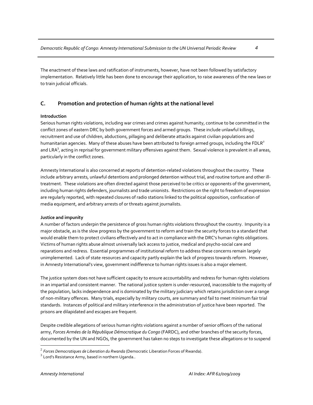The enactment of these laws and ratification of instruments, however, have not been followed by satisfactory implementation. Relatively little has been done to encourage their application, to raise awareness of the new laws or to train judicial officials.

#### **C. Promotion and protection of human rights at the national level**

#### **Introduction**

Serious human rights violations, including war crimes and crimes against humanity, continue to be committed in the conflict zones of eastern DRC by both government forces and armed groups. These include unlawful killings, recruitment and use of children, abductions, pillaging and deliberate attacks against civilian populations and humanitarian agencies. Many of these abuses have been attributed to foreign armed groups, including the FDLR<sup>2</sup> and LRA $^3$ , acting in reprisal for government military offensives against them. Sexual violence is prevalent in all areas, particularly in the conflict zones.

Amnesty International is also concerned at reports of detention-related violations throughout the country. These include arbitrary arrests, unlawful detentions and prolonged detention without trial, and routine torture and other illtreatment. These violations are often directed against those perceived to be critics or opponents of the government, including human rights defenders, journalists and trade unionists. Restrictions on the right to freedom of expression are regularly reported, with repeated closures of radio stations linked to the political opposition, confiscation of media equipment, and arbitrary arrests of or threats against journalists.

#### **Justice and impunity**

A number of factors underpin the persistence of gross human rights violations throughout the country. Impunity is a major obstacle, as is the slow progress by the government to reform and train the security forces to a standard that would enable them to protect civilians effectively and to act in compliance with the DRC's human rights obligations. Victims of human rights abuse almost universally lack access to justice, medical and psycho‐social care and reparations and redress. Essential programmes of institutional reform to address these concerns remain largely unimplemented. Lack of state resources and capacity partly explain the lack of progress towards reform. However, in Amnesty International's view, government indifference to human rights issues is also a major element.

The justice system does not have sufficient capacity to ensure accountability and redress for human rights violations in an impartial and consistent manner. The national justice system is under‐resourced, inaccessible to the majority of the population, lacks independence and is dominated by the military judiciary which retains jurisdiction over a range of non‐military offences. Many trials, especially by military courts, are summary and fail to meet minimum fair trial standards. Instances of political and military interference in the administration of justice have been reported. The prisons are dilapidated and escapes are frequent.

Despite credible allegations of serious human rights violations against a number of senior officers of the national army, *Forces Armées de la République Démocratique du Congo* (FARDC), and other branches of the security forces, documented by the UN and NGOs, the government has taken no steps to investigate these allegations or to suspend

 $\overline{a}$ 

<sup>&</sup>lt;sup>2</sup> *Forces Democratiques de Liberation du Rwanda* (Democratic Liberation Forces of Rwanda).<br><sup>3</sup> Lord's Resistance Army, based in northern Uganda..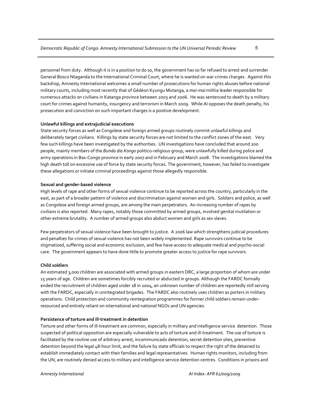personnel from duty. Although it is in a position to do so, the government has so far refused to arrest and surrender General Bosco Ntaganda to the International Criminal Court, where he is wanted on war crimes charges. Against this backdrop, Amnesty International welcomes a small number of prosecutions for human rights abuses before national military courts, including most recently that of Gédéon Kyungu Mutanga, a *mai‐mai* militia leader responsible for numerous attacks on civilians in Katanga province between 2003 and 2006. He was sentenced to death by a military court for crimes against humanity, insurgency and terrorism in March 2009. While AI opposes the death penalty, his prosecution and conviction on such important charges is a positive development.

#### **Unlawful killings and extrajudicial executions**

State security forces as well as Congolese and foreign armed groups routinely commit unlawful killings and deliberately target civilians. Killings by state security forces are not limited to the conflict zones of the east. Very few such killings have been investigated by the authorities. UN investigations have concluded that around 200 people, mainly members of the *Bunda dia Kongo* politico‐religious group, were unlawfully killed during police and army operations in Bas‐Congo province in early 2007 and in February and March 2008. The investigations blamed the high death toll on excessive use of force by state security forces. The government, however, has failed to investigate these allegations or initiate criminal proceedings against those allegedly responsible.

#### **Sexual and gender‐based violence**

High levels of rape and other forms of sexual violence continue to be reported across the country, particularly in the east, as part of a broader pattern of violence and discrimination against women and girls. Soldiers and police, as well as Congolese and foreign armed groups, are among the main perpetrators. An increasing number of rapes by civilians is also reported. Many rapes, notably those committed by armed groups, involved genital mutilation or other extreme brutality. A number of armed groups also abduct women and girls as sex slaves.

Few perpetrators of sexual violence have been brought to justice. A 2006 law which strengthens judicial procedures and penalties for crimes of sexual violence has not been widely implemented. Rape survivors continue to be stigmatized, suffering social and economic exclusion, and few have access to adequate medical and psycho‐social care. The government appears to have done little to promote greater access to justice for rape survivors.

#### **Child soldiers**

An estimated 3,000 children are associated with armed groups in eastern DRC, a large proportion of whom are under 15 years of age. Children are sometimes forcibly recruited or abducted in groups. Although the FARDC formally ended the recruitment of children aged under 18 in 2004, an unknown number of children are reportedly still serving with the FARDC, especially in unintegrated brigades. The FARDC also routinely uses children as porters in military operations. Child protection and community reintegration programmes for former child soldiers remain under‐ resourced and entirely reliant on international and national NGOs and UN agencies.

#### **Persistence of torture and ill‐treatment in detention**

Torture and other forms of ill‐treatment are common, especially in military and intelligence service detention. Those suspected of political opposition are especially vulnerable to acts of torture and ill-treatment. The use of torture is facilitated by the routine use of arbitrary arrest, incommunicado detention, secret detention sites, preventive detention beyond the legal 48‐hour limit, and the failure by state officials to respect the right of the detained to establish immediately contact with their families and legal representatives. Human rights monitors, including from the UN, are routinely denied access to military and intelligence service detention centres. Conditions in prisons and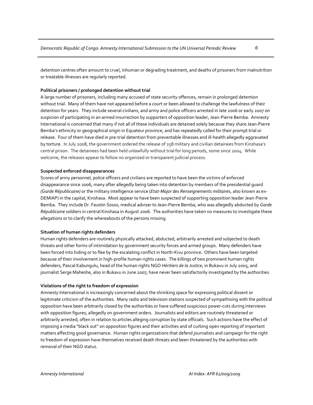detention centres often amount to cruel, inhuman or degrading treatment, and deaths of prisoners from malnutrition or treatable illnesses are regularly reported.

#### **Political prisoners / prolonged detention without trial**

A large number of prisoners, including many accused of state security offences, remain in prolonged detention without trial. Many of them have not appeared before a court or been allowed to challenge the lawfulness of their detention for years. They include several civilians, and army and police officers arrested in late 2006 or early 2007 on suspicion of participating in an armed insurrection by supporters of opposition leader, Jean‐Pierre Bemba. Amnesty International is concerned that many if not all of these individuals are detained solely because they share Jean‐Pierre Bemba's ethnicity or geographical origin in Equateur province, and has repeatedly called for their prompt trial or release. Four of them have died in pre-trial detention from preventable illnesses and ill-health allegedly aggravated by torture. In July 2008, the government ordered the release of 258 military and civilian detainees from Kinshasa's central prison. The detainees had been held unlawfully without trial for long periods, some since 2004. While welcome, the releases appear to follow no organized or transparent judicial process.

#### **Suspected enforced disappearances**

Scores of army personnel, police officers and civilians are reported to have been the victims of enforced disappearance since 2006, many after allegedly being taken into detention by members of the presidential guard *(Garde Républicaine)* or the military intelligence service (*Etat‐Major des Renseignements militaires*, also known as ex‐ DEMIAP) in the capital, Kinshasa. Most appear to have been suspected of supporting opposition leader Jean‐Pierre Bemba. They include Dr. Faustin Sosso, medical adviser to Jean‐Pierre Bemba, who was allegedly abducted by *Garde Républicaine* soldiers in central Kinshasa in August 2006. The authorities have taken no measures to investigate these allegations or to clarify the whereabouts of the persons missing.

#### **Situation of human rights defenders**

Human rights defenders are routinely physically attacked, abducted, arbitrarily arrested and subjected to death threats and other forms of intimidation by government security forces and armed groups. Many defenders have been forced into hiding or to flee by the escalating conflict in North‐Kivu province. Others have been targeted because of their involvement in high‐profile human rights cases. The killings of two prominent human rights defenders, Pascal Kabungulu, head of the human rights NGO *Héritiers de la Justice*, in Bukavu in July 2005, and journalist Serge Maheshe, also in Bukavu in June 2007, have never been satisfactorily investigated by the authorities.

#### **Violations of the right to freedom of expression**

Amnesty International is increasingly concerned about the shrinking space for expressing political dissent or legitimate criticism of the authorities. Many radio and television stations suspected of sympathising with the political opposition have been arbitrarily closed by the authorities or have suffered suspicious power‐cuts during interviews with opposition figures, allegedly on government orders. Journalists and editors are routinely threatened or arbitrarily arrested, often in relation to articles alleging corruption by state officials. Such actions have the effect of imposing a media "black out" on opposition figures and their activities and of curbing open reporting of important matters affecting good governance. Human rights organizations that defend journalists and campaign for the right to freedom of expression have themselves received death threats and been threatened by the authorities with removal of their NGO status.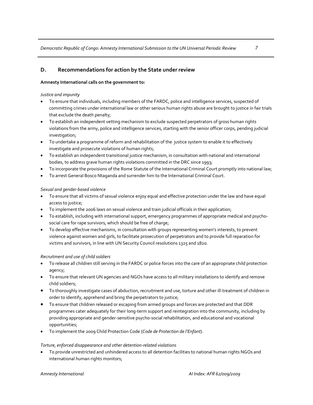#### **D. Recommendations for action by the State under review**

#### **Amnesty International calls on the government to:**

#### *Justice and impunity*

- To ensure that individuals, including members of the FARDC, police and intelligence services, suspected of committing crimes under international law or other serious human rights abuse are brought to justice in fair trials that exclude the death penalty;
- To establish an independent vetting mechanism to exclude suspected perpetrators of gross human rights violations from the army, police and intelligence services, starting with the senior officer corps, pending judicial investigation;
- To undertake a programme of reform and rehabilitation of the justice system to enable it to effectively investigate and prosecute violations of human rights;
- To establish an independent transitional justice mechanism, in consultation with national and international bodies, to address grave human rights violations committed in the DRC since 1993;
- To incorporate the provisions of the Rome Statute of the International Criminal Court promptly into national law;
- To arrest General Bosco Ntaganda and surrender him to the International Criminal Court.

#### *Sexual and gender‐based violence*

- To ensure that all victims of sexual violence enjoy equal and effective protection under the law and have equal access to justice;
- To implement the 2006 laws on sexual violence and train judicial officials in their application;
- To establish, including with international support, emergency programmes of appropriate medical and psycho‐ social care for rape survivors, which should be free of charge;
- To develop effective mechanisms, in consultation with groups representing women's interests, to prevent violence against women and girls, to facilitate prosecution of perpetrators and to provide full reparation for victims and survivors, in line with UN Security Council resolutions 1325 and 1820.

#### *Recruitment and use of child soldiers*

- To release all children still serving in the FARDC or police forces into the care of an appropriate child protection agency;
- To ensure that relevant UN agencies and NGOs have access to all military installations to identify and remove child soldiers;
- To thoroughly investigate cases of abduction, recruitment and use, torture and other ill‐treatment of children in order to identify, apprehend and bring the perpetrators to justice;
- To ensure that children released or escaping from armed groups and forces are protected and that DDR programmes cater adequately for their long-term support and reintegration into the community, including by providing appropriate and gender‐sensitive psycho‐social rehabilitation, and educational and vocational opportunities;
- To implement the 2009 Child Protection Code (*Code de Protection de l'Enfant*).

#### *Torture, enforced disappearance and other detention‐related violations*

• To provide unrestricted and unhindered access to all detention facilities to national human rights NGOs and international human rights monitors;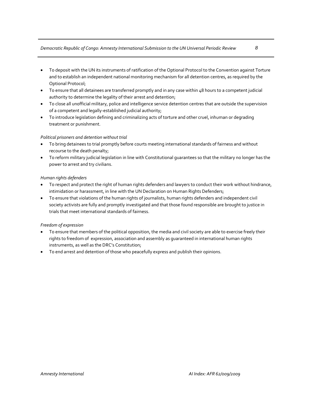#### *Democratic Republic of Congo: Amnesty International Submission to the UN Universal Periodic Review 8*

- To deposit with the UN its instruments of ratification of the Optional Protocol to the Convention against Torture and to establish an independent national monitoring mechanism for all detention centres, as required by the Optional Protocol;
- To ensure that all detainees are transferred promptly and in any case within 48 hours to a competent judicial authority to determine the legality of their arrest and detention;
- To close all unofficial military, police and intelligence service detention centres that are outside the supervision of a competent and legally‐established judicial authority;
- To introduce legislation defining and criminalizing acts of torture and other cruel, inhuman or degrading treatment or punishment.

#### *Political prisoners and detention without trial*

- To bring detainees to trial promptly before courts meeting international standards of fairness and without recourse to the death penalty;
- To reform military judicial legislation in line with Constitutional guarantees so that the military no longer has the power to arrest and try civilians.

#### *Human rights defenders*

- To respect and protect the right of human rights defenders and lawyers to conduct their work without hindrance, intimidation or harassment, in line with the UN Declaration on Human Rights Defenders;
- To ensure that violations of the human rights of journalists, human rights defenders and independent civil society activists are fully and promptly investigated and that those found responsible are brought to justice in trials that meet international standards of fairness.

#### *Freedom of expression*

- To ensure that members of the political opposition, the media and civil society are able to exercise freely their rights to freedom of expression, association and assembly as guaranteed in international human rights instruments, as well as the DRC's Constitution;
- To end arrest and detention of those who peacefully express and publish their opinions.